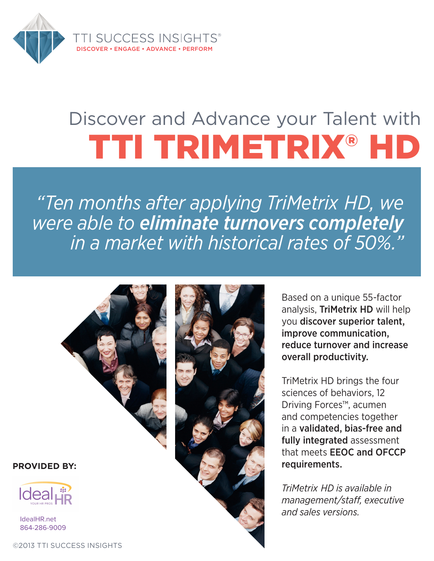

# Discover and Advance your Talent with TTI TRIMETRIX® HD

*"Ten months after applying TriMetrix HD, we were able to eliminate turnovers completely in a market with historical rates of 50%."*



**PROVIDED BY:**



IdealHR.net 864-286-9009

©2013 TTI SUCCESS INSIGHTS



Based on a unique 55-factor analysis, TriMetrix HD will help you discover superior talent, improve communication, reduce turnover and increase overall productivity.

TriMetrix HD brings the four sciences of behaviors, 12 Driving Forces™, acumen and competencies together in a validated, bias-free and fully integrated assessment that meets EEOC and OFCCP requirements.

*TriMetrix HD is available in management/staff, executive and sales versions.*